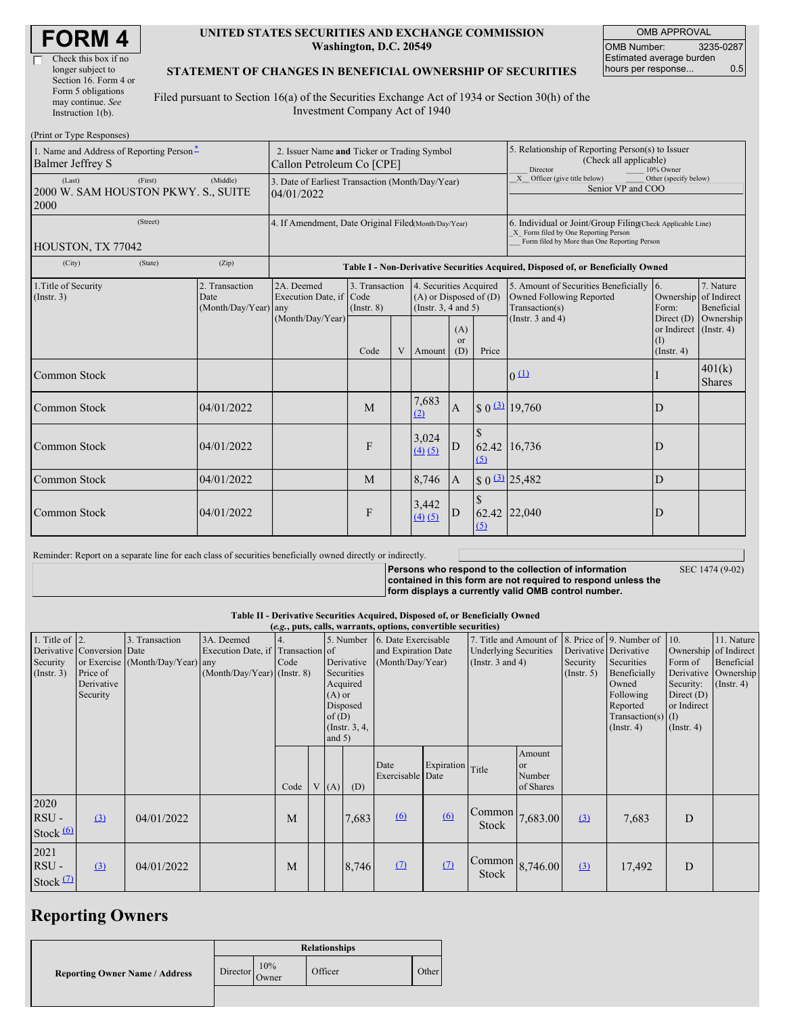| <b>FORM 4</b> |
|---------------|
|---------------|

 $\Box$ 

#### **UNITED STATES SECURITIES AND EXCHANGE COMMISSION Washington, D.C. 20549**

OMB APPROVAL OMB Number: 3235-0287 Estimated average burden hours per response... 0.5

#### **STATEMENT OF CHANGES IN BENEFICIAL OWNERSHIP OF SECURITIES**

Filed pursuant to Section 16(a) of the Securities Exchange Act of 1934 or Section 30(h) of the Investment Company Act of 1940

| (Print or Type Responses)                                                    |                                                                          |                                                                                  |                                   |   |                                                                              |                             |                                                                                                                                                    |                                                                                       |                                                   |                               |
|------------------------------------------------------------------------------|--------------------------------------------------------------------------|----------------------------------------------------------------------------------|-----------------------------------|---|------------------------------------------------------------------------------|-----------------------------|----------------------------------------------------------------------------------------------------------------------------------------------------|---------------------------------------------------------------------------------------|---------------------------------------------------|-------------------------------|
| 1. Name and Address of Reporting Person-<br><b>Balmer Jeffrey S</b>          | 2. Issuer Name and Ticker or Trading Symbol<br>Callon Petroleum Co [CPE] |                                                                                  |                                   |   |                                                                              |                             | 5. Relationship of Reporting Person(s) to Issuer<br>(Check all applicable)<br>Director<br>10% Owner                                                |                                                                                       |                                                   |                               |
| (First)<br>(Middle)<br>(Last)<br>2000 W. SAM HOUSTON PKWY. S., SUITE<br>2000 |                                                                          | 3. Date of Earliest Transaction (Month/Day/Year)<br>04/01/2022                   |                                   |   |                                                                              |                             |                                                                                                                                                    | Other (specify below)<br>X Officer (give title below)<br>Senior VP and COO            |                                                   |                               |
| (Street)<br>HOUSTON, TX 77042                                                | 4. If Amendment, Date Original Filed(Month/Day/Year)                     |                                                                                  |                                   |   |                                                                              |                             | 6. Individual or Joint/Group Filing(Check Applicable Line)<br>X Form filed by One Reporting Person<br>Form filed by More than One Reporting Person |                                                                                       |                                                   |                               |
| (City)<br>(State)                                                            | (Zip)                                                                    | Table I - Non-Derivative Securities Acquired, Disposed of, or Beneficially Owned |                                   |   |                                                                              |                             |                                                                                                                                                    |                                                                                       |                                                   |                               |
| 1. Title of Security<br>(Insert. 3)                                          | 2. Transaction<br>Date<br>(Month/Day/Year)                               | 2A. Deemed<br>Execution Date, if Code<br>any<br>(Month/Day/Year)                 | 3. Transaction<br>$($ Instr. $8)$ |   | 4. Securities Acquired<br>$(A)$ or Disposed of $(D)$<br>(Insert. 3, 4 and 5) |                             |                                                                                                                                                    | 5. Amount of Securities Beneficially 6.<br>Owned Following Reported<br>Transaction(s) | Ownership of Indirect<br>Form:                    | 7. Nature<br>Beneficial       |
|                                                                              |                                                                          |                                                                                  | Code                              | V | Amount                                                                       | (A)<br><sub>or</sub><br>(D) | Price                                                                                                                                              | (Instr. $3$ and $4$ )                                                                 | Direct $(D)$<br>or Indirect<br>(I)<br>(Insert. 4) | Ownership<br>$($ Instr. 4 $)$ |
| <b>Common Stock</b>                                                          |                                                                          |                                                                                  |                                   |   |                                                                              |                             |                                                                                                                                                    | 0(1)                                                                                  |                                                   | 401(k)<br><b>Shares</b>       |
| Common Stock                                                                 | 04/01/2022                                                               |                                                                                  | M                                 |   | 7,683<br>(2)                                                                 | $\overline{A}$              |                                                                                                                                                    | $$0 \frac{(3)}{2} 19,760$                                                             | D                                                 |                               |
| Common Stock                                                                 | 04/01/2022                                                               |                                                                                  | F                                 |   | 3,024<br>(4)(5)                                                              | D                           | (5)                                                                                                                                                | 62.42 16,736                                                                          | D                                                 |                               |
| <b>Common Stock</b>                                                          | 04/01/2022                                                               |                                                                                  | M                                 |   | 8.746                                                                        | $\overline{A}$              |                                                                                                                                                    | $$0 \space 3$ 25,482                                                                  | D                                                 |                               |
| <b>Common Stock</b>                                                          | 04/01/2022                                                               |                                                                                  | F                                 |   | 3,442<br>(4)(5)                                                              | D                           | 62.42<br>(5)                                                                                                                                       | 22,040                                                                                | D                                                 |                               |

Reminder: Report on a separate line for each class of securities beneficially owned directly or indirectly.

**Persons who respond to the collection of information contained in this form are not required to respond unless the form displays a currently valid OMB control number.**

SEC 1474 (9-02)

**Table II - Derivative Securities Acquired, Disposed of, or Beneficially Owned**

| (e.g., puts, calls, warrants, options, convertible securities) |                            |                                  |                                                 |                    |                 |                                            |            |                                                        |                  |                       |                          |                                      |                  |                        |  |
|----------------------------------------------------------------|----------------------------|----------------------------------|-------------------------------------------------|--------------------|-----------------|--------------------------------------------|------------|--------------------------------------------------------|------------------|-----------------------|--------------------------|--------------------------------------|------------------|------------------------|--|
| 1. Title of $ 2$ .                                             | Derivative Conversion Date | 3. Transaction                   | 3A. Deemed<br>Execution Date, if Transaction of | 5. Number          |                 | 6. Date Exercisable<br>and Expiration Date |            | 7. Title and Amount of<br><b>Underlying Securities</b> |                  | Derivative Derivative | 8. Price of 9. Number of | $\vert$ 10.<br>Ownership of Indirect | 11. Nature       |                        |  |
| Security                                                       |                            | or Exercise (Month/Day/Year) any |                                                 | Code<br>Derivative |                 | (Month/Day/Year)                           |            | (Instr. $3$ and $4$ )                                  |                  | Security              | Securities               | Form of                              | Beneficial       |                        |  |
| (Insert. 3)                                                    | Price of                   |                                  | $(Month/Day/Year)$ (Instr. 8)                   |                    |                 |                                            | Securities |                                                        |                  |                       |                          | $($ Instr. 5 $)$                     | Beneficially     | Derivative   Ownership |  |
|                                                                | Derivative                 |                                  |                                                 |                    | Acquired        |                                            |            |                                                        |                  |                       |                          | Owned                                | Security:        | $($ Instr. 4 $)$       |  |
|                                                                | Security                   |                                  |                                                 |                    |                 | $(A)$ or                                   |            |                                                        |                  |                       |                          |                                      | Following        | Direct $(D)$           |  |
|                                                                |                            |                                  |                                                 |                    | Disposed        |                                            |            |                                                        |                  |                       |                          |                                      | Reported         | or Indirect            |  |
|                                                                |                            |                                  |                                                 |                    | of(D)           |                                            |            |                                                        |                  |                       |                          | Transaction(s) $(I)$                 |                  |                        |  |
|                                                                |                            |                                  |                                                 |                    | (Instr. $3, 4,$ |                                            |            |                                                        |                  |                       |                          | $($ Instr. 4 $)$                     | $($ Instr. 4 $)$ |                        |  |
|                                                                |                            |                                  |                                                 |                    | and $5)$        |                                            |            |                                                        |                  |                       |                          |                                      |                  |                        |  |
|                                                                |                            |                                  |                                                 |                    |                 |                                            |            |                                                        |                  |                       | Amount                   |                                      |                  |                        |  |
|                                                                |                            |                                  |                                                 |                    |                 |                                            |            | Date                                                   | Expiration Title |                       | or                       |                                      |                  |                        |  |
|                                                                |                            |                                  |                                                 |                    |                 |                                            |            | Exercisable Date                                       |                  |                       | Number                   |                                      |                  |                        |  |
|                                                                |                            |                                  |                                                 | Code               |                 | V(A)                                       | (D)        |                                                        |                  |                       | of Shares                |                                      |                  |                        |  |
| 2020                                                           |                            |                                  |                                                 |                    |                 |                                            |            |                                                        |                  |                       |                          |                                      |                  |                        |  |
| RSU-                                                           | (3)                        | 04/01/2022                       |                                                 | M                  |                 |                                            | 7,683      | 6                                                      | (6)              | Common                | 7,683.00                 | $\Omega$                             | 7,683            | D                      |  |
| Stock $(6)$                                                    |                            |                                  |                                                 |                    |                 |                                            |            |                                                        |                  | Stock                 |                          |                                      |                  |                        |  |
|                                                                |                            |                                  |                                                 |                    |                 |                                            |            |                                                        |                  |                       |                          |                                      |                  |                        |  |
| 2021                                                           |                            |                                  |                                                 |                    |                 |                                            |            |                                                        |                  |                       |                          |                                      |                  |                        |  |
| RSU-                                                           | (3)                        | 04/01/2022                       |                                                 | M                  |                 |                                            | 8,746      | (7)                                                    | $\Omega$         | Common                | 8,746.00                 | (3)                                  | 17,492           | D                      |  |
|                                                                |                            |                                  |                                                 |                    |                 |                                            |            |                                                        |                  | Stock                 |                          |                                      |                  |                        |  |
| Stock $(2)$                                                    |                            |                                  |                                                 |                    |                 |                                            |            |                                                        |                  |                       |                          |                                      |                  |                        |  |

# **Reporting Owners**

|                                       | <b>Relationships</b> |              |         |       |  |  |  |
|---------------------------------------|----------------------|--------------|---------|-------|--|--|--|
| <b>Reporting Owner Name / Address</b> | Director             | 10%<br>Owner | Officer | Other |  |  |  |
|                                       |                      |              |         |       |  |  |  |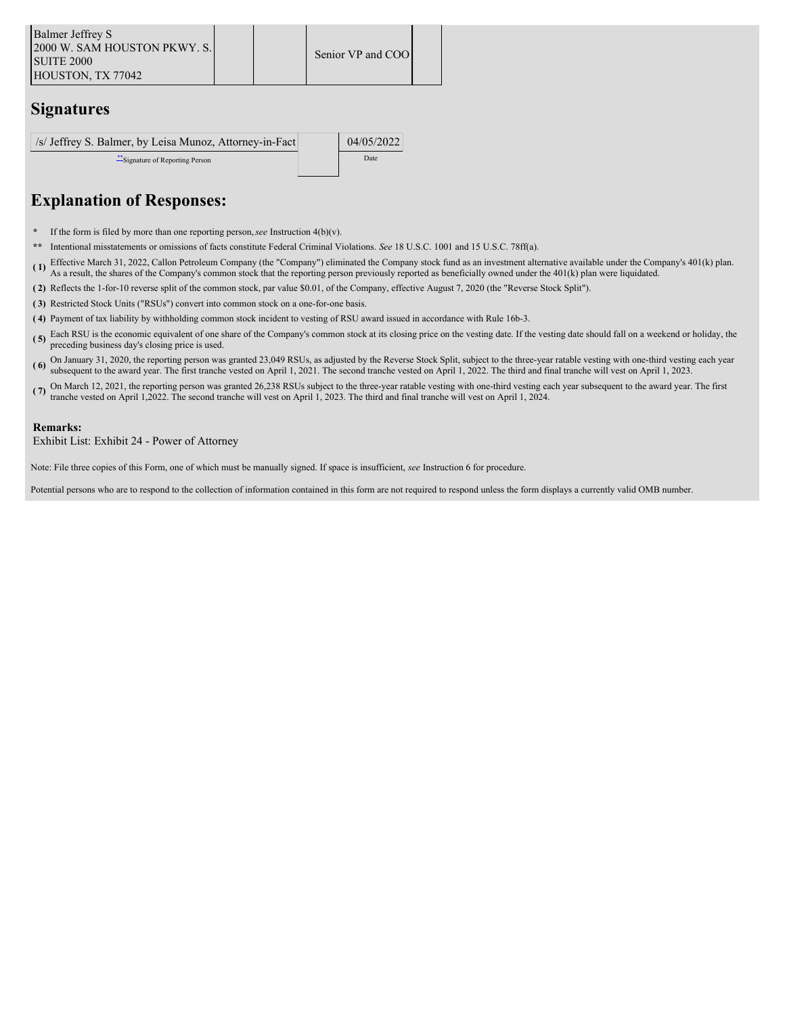### **Signatures**

| /s/ Jeffrey S. Balmer, by Leisa Munoz, Attorney-in-Fact | 04/05/2022 |
|---------------------------------------------------------|------------|
| Signature of Reporting Person                           | Date       |
|                                                         |            |

# **Explanation of Responses:**

- **\*** If the form is filed by more than one reporting person,*see* Instruction 4(b)(v).
- **\*\*** Intentional misstatements or omissions of facts constitute Federal Criminal Violations. *See* 18 U.S.C. 1001 and 15 U.S.C. 78ff(a).
- **( 1)** Effective March 31, 2022, Callon Petroleum Company (the "Company") eliminated the Company stock fund as an investment alternative available under the Company's 401(k) plan. As a result, the shares of the Company's common stock that the reporting person previously reported as beneficially owned under the 401(k) plan were liquidated.
- **( 2)** Reflects the 1-for-10 reverse split of the common stock, par value \$0.01, of the Company, effective August 7, 2020 (the "Reverse Stock Split").
- **( 3)** Restricted Stock Units ("RSUs") convert into common stock on a one-for-one basis.
- **( 4)** Payment of tax liability by withholding common stock incident to vesting of RSU award issued in accordance with Rule 16b-3.
- **( 5)** Each RSU is the economic equivalent of one share of the Company's common stock at its closing price on the vesting date. If the vesting date should fall on a weekend or holiday, the preceding business day's closing price is used.
- (6) On January 31, 2020, the reporting person was granted 23,049 RSUs, as adjusted by the Reverse Stock Split, subject to the three-year ratable vesting with one-third vesting each year.<br>(6) Subject to the three-year ratab subsequent to the award year. The first tranche vested on April 1, 2021. The second tranche vested on April 1, 2022. The third and final tranche will vest on April 1, 2023.
- (**7**) On March 12, 2021, the reporting person was granted 26,238 RSUs subject to the three-year ratable vesting with one-third vesting each year subsequent to the award year. The first transported on April 1,2021, the repo tranche vested on April 1,2022. The second tranche will vest on April 1, 2023. The third and final tranche will vest on April 1, 2024.

#### **Remarks:**

Exhibit List: Exhibit 24 - Power of Attorney

Note: File three copies of this Form, one of which must be manually signed. If space is insufficient, *see* Instruction 6 for procedure.

Potential persons who are to respond to the collection of information contained in this form are not required to respond unless the form displays a currently valid OMB number.